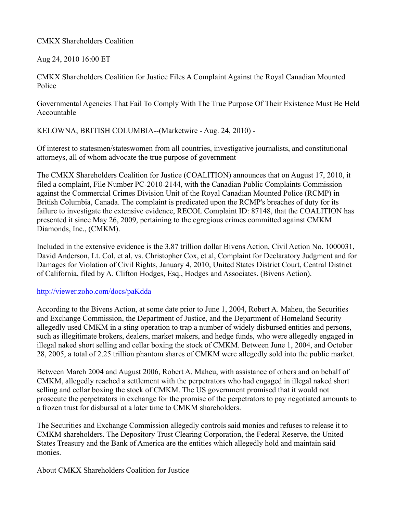## CMKX Shareholders Coalition

Aug 24, 2010 16:00 ET

CMKX Shareholders Coalition for Justice Files A Complaint Against the Royal Canadian Mounted Police

Governmental Agencies That Fail To Comply With The True Purpose Of Their Existence Must Be Held Accountable

KELOWNA, BRITISH COLUMBIA--(Marketwire - Aug. 24, 2010) -

Of interest to statesmen/stateswomen from all countries, investigative journalists, and constitutional attorneys, all of whom advocate the true purpose of government

The CMKX Shareholders Coalition for Justice (COALITION) announces that on August 17, 2010, it filed a complaint, File Number PC-2010-2144, with the Canadian Public Complaints Commission against the Commercial Crimes Division Unit of the Royal Canadian Mounted Police (RCMP) in British Columbia, Canada. The complaint is predicated upon the RCMP's breaches of duty for its failure to investigate the extensive evidence, RECOL Complaint ID: 87148, that the COALITION has presented it since May 26, 2009, pertaining to the egregious crimes committed against CMKM Diamonds, Inc., (CMKM).

Included in the extensive evidence is the 3.87 trillion dollar Bivens Action, Civil Action No. 1000031, David Anderson, Lt. Col, et al, vs. Christopher Cox, et al, Complaint for Declaratory Judgment and for Damages for Violation of Civil Rights, January 4, 2010, United States District Court, Central District of California, filed by A. Clifton Hodges, Esq., Hodges and Associates. (Bivens Action).

## http://viewer.zoho.com/docs/paKdda

According to the Bivens Action, at some date prior to June 1, 2004, Robert A. Maheu, the Securities and Exchange Commission, the Department of Justice, and the Department of Homeland Security allegedly used CMKM in a sting operation to trap a number of widely disbursed entities and persons, such as illegitimate brokers, dealers, market makers, and hedge funds, who were allegedly engaged in illegal naked short selling and cellar boxing the stock of CMKM. Between June 1, 2004, and October 28, 2005, a total of 2.25 trillion phantom shares of CMKM were allegedly sold into the public market.

Between March 2004 and August 2006, Robert A. Maheu, with assistance of others and on behalf of CMKM, allegedly reached a settlement with the perpetrators who had engaged in illegal naked short selling and cellar boxing the stock of CMKM. The US government promised that it would not prosecute the perpetrators in exchange for the promise of the perpetrators to pay negotiated amounts to a frozen trust for disbursal at a later time to CMKM shareholders.

The Securities and Exchange Commission allegedly controls said monies and refuses to release it to CMKM shareholders. The Depository Trust Clearing Corporation, the Federal Reserve, the United States Treasury and the Bank of America are the entities which allegedly hold and maintain said monies.

About CMKX Shareholders Coalition for Justice